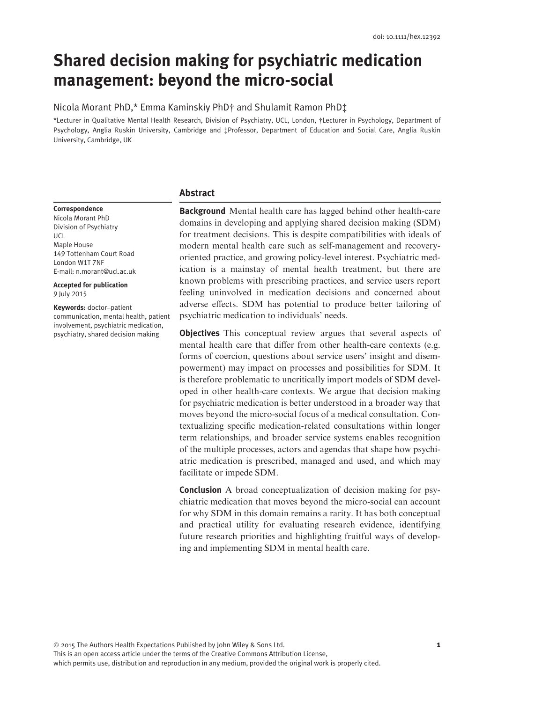# Shared decision making for psychiatric medication management: beyond the micro-social

## Nicola Morant PhD,\* Emma Kaminskiy PhD† and Shulamit Ramon PhD‡

\*Lecturer in Qualitative Mental Health Research, Division of Psychiatry, UCL, London, †Lecturer in Psychology, Department of Psychology, Anglia Ruskin University, Cambridge and ‡Professor, Department of Education and Social Care, Anglia Ruskin University, Cambridge, UK

## Abstract

Correspondence Nicola Morant PhD Division of Psychiatry Maple House 149 Tottenham Court Road London W1T 7NF E-mail: n.morant@ucl.ac.uk Accepted for publication

9 July 2015

 $UCl$ 

Keywords: doctor–patient communication, mental health, patient involvement, psychiatric medication, psychiatry, shared decision making

Background Mental health care has lagged behind other health-care domains in developing and applying shared decision making (SDM) for treatment decisions. This is despite compatibilities with ideals of modern mental health care such as self-management and recoveryoriented practice, and growing policy-level interest. Psychiatric medication is a mainstay of mental health treatment, but there are known problems with prescribing practices, and service users report feeling uninvolved in medication decisions and concerned about adverse effects. SDM has potential to produce better tailoring of psychiatric medication to individuals' needs.

**Objectives** This conceptual review argues that several aspects of mental health care that differ from other health-care contexts (e.g. forms of coercion, questions about service users' insight and disempowerment) may impact on processes and possibilities for SDM. It is therefore problematic to uncritically import models of SDM developed in other health-care contexts. We argue that decision making for psychiatric medication is better understood in a broader way that moves beyond the micro-social focus of a medical consultation. Contextualizing specific medication-related consultations within longer term relationships, and broader service systems enables recognition of the multiple processes, actors and agendas that shape how psychiatric medication is prescribed, managed and used, and which may facilitate or impede SDM.

Conclusion A broad conceptualization of decision making for psychiatric medication that moves beyond the micro-social can account for why SDM in this domain remains a rarity. It has both conceptual and practical utility for evaluating research evidence, identifying future research priorities and highlighting fruitful ways of developing and implementing SDM in mental health care.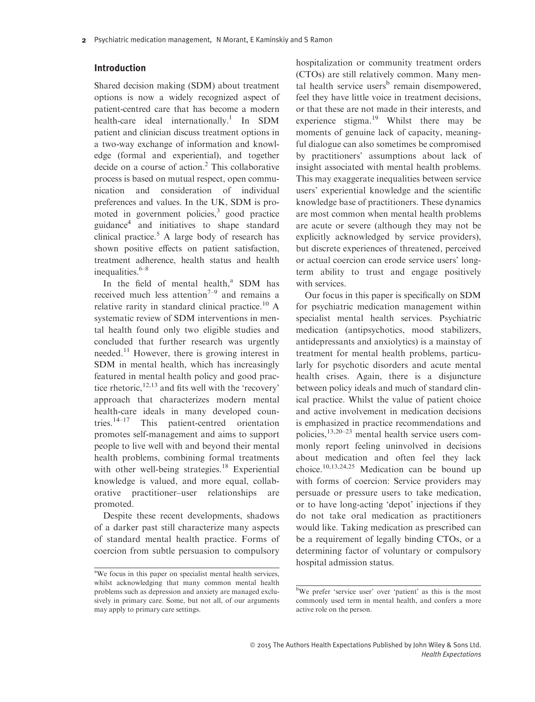# Introduction

Shared decision making (SDM) about treatment options is now a widely recognized aspect of patient-centred care that has become a modern health-care ideal internationally.<sup>1</sup> In SDM patient and clinician discuss treatment options in a two-way exchange of information and knowledge (formal and experiential), and together decide on a course of action. $<sup>2</sup>$  This collaborative</sup> process is based on mutual respect, open communication and consideration of individual preferences and values. In the UK, SDM is promoted in government policies, $3$  good practice guidance4 and initiatives to shape standard clinical practice.<sup>5</sup> A large body of research has shown positive effects on patient satisfaction, treatment adherence, health status and health inequalities. $6-8$ 

In the field of mental health, $a$  SDM has received much less attention<sup> $7-9$ </sup> and remains a relative rarity in standard clinical practice.<sup>10</sup> A systematic review of SDM interventions in mental health found only two eligible studies and concluded that further research was urgently needed.<sup>11</sup> However, there is growing interest in SDM in mental health, which has increasingly featured in mental health policy and good practice rhetoric,  $12,13$  and fits well with the 'recovery' approach that characterizes modern mental health-care ideals in many developed countries.14–<sup>17</sup> This patient-centred orientation promotes self-management and aims to support people to live well with and beyond their mental health problems, combining formal treatments with other well-being strategies.<sup>18</sup> Experiential knowledge is valued, and more equal, collaborative practitioner–user relationships are promoted.

Despite these recent developments, shadows of a darker past still characterize many aspects of standard mental health practice. Forms of coercion from subtle persuasion to compulsory hospitalization or community treatment orders (CTOs) are still relatively common. Many mental health service users<sup>b</sup> remain disempowered, feel they have little voice in treatment decisions, or that these are not made in their interests, and experience stigma.<sup>19</sup> Whilst there may be moments of genuine lack of capacity, meaningful dialogue can also sometimes be compromised by practitioners' assumptions about lack of insight associated with mental health problems. This may exaggerate inequalities between service users' experiential knowledge and the scientific knowledge base of practitioners. These dynamics are most common when mental health problems are acute or severe (although they may not be explicitly acknowledged by service providers), but discrete experiences of threatened, perceived or actual coercion can erode service users' longterm ability to trust and engage positively with services.

Our focus in this paper is specifically on SDM for psychiatric medication management within specialist mental health services. Psychiatric medication (antipsychotics, mood stabilizers, antidepressants and anxiolytics) is a mainstay of treatment for mental health problems, particularly for psychotic disorders and acute mental health crises. Again, there is a disjuncture between policy ideals and much of standard clinical practice. Whilst the value of patient choice and active involvement in medication decisions is emphasized in practice recommendations and policies,13,20–<sup>23</sup> mental health service users commonly report feeling uninvolved in decisions about medication and often feel they lack choice.10,13,24,25 Medication can be bound up with forms of coercion: Service providers may persuade or pressure users to take medication, or to have long-acting 'depot' injections if they do not take oral medication as practitioners would like. Taking medication as prescribed can be a requirement of legally binding CTOs, or a determining factor of voluntary or compulsory hospital admission status.

<sup>&</sup>lt;sup>a</sup>We focus in this paper on specialist mental health services, whilst acknowledging that many common mental health problems such as depression and anxiety are managed exclusively in primary care. Some, but not all, of our arguments may apply to primary care settings.

<sup>&</sup>lt;sup>b</sup>We prefer 'service user' over 'patient' as this is the most commonly used term in mental health, and confers a more active role on the person.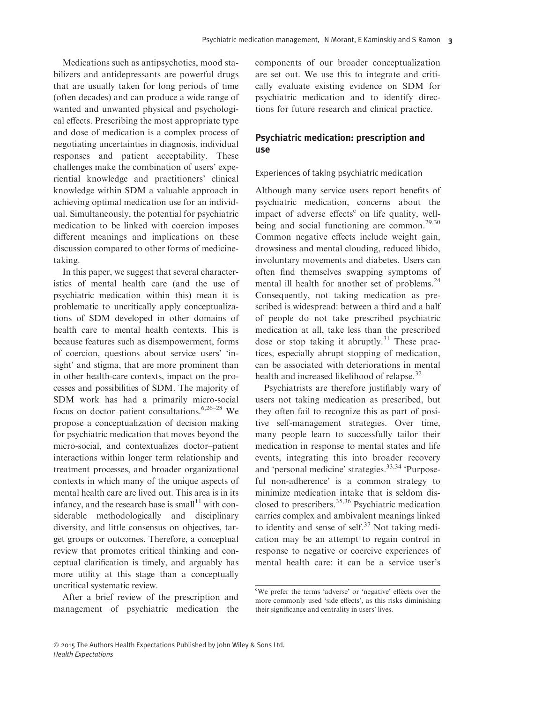Medications such as antipsychotics, mood stabilizers and antidepressants are powerful drugs that are usually taken for long periods of time (often decades) and can produce a wide range of wanted and unwanted physical and psychological effects. Prescribing the most appropriate type and dose of medication is a complex process of negotiating uncertainties in diagnosis, individual responses and patient acceptability. These challenges make the combination of users' experiential knowledge and practitioners' clinical knowledge within SDM a valuable approach in achieving optimal medication use for an individual. Simultaneously, the potential for psychiatric medication to be linked with coercion imposes different meanings and implications on these discussion compared to other forms of medicinetaking.

In this paper, we suggest that several characteristics of mental health care (and the use of psychiatric medication within this) mean it is problematic to uncritically apply conceptualizations of SDM developed in other domains of health care to mental health contexts. This is because features such as disempowerment, forms of coercion, questions about service users' 'insight' and stigma, that are more prominent than in other health-care contexts, impact on the processes and possibilities of SDM. The majority of SDM work has had a primarily micro-social focus on doctor–patient consultations.6,26–<sup>28</sup> We propose a conceptualization of decision making for psychiatric medication that moves beyond the micro-social, and contextualizes doctor–patient interactions within longer term relationship and treatment processes, and broader organizational contexts in which many of the unique aspects of mental health care are lived out. This area is in its infancy, and the research base is small<sup>11</sup> with considerable methodologically and disciplinary diversity, and little consensus on objectives, target groups or outcomes. Therefore, a conceptual review that promotes critical thinking and conceptual clarification is timely, and arguably has more utility at this stage than a conceptually uncritical systematic review.

After a brief review of the prescription and management of psychiatric medication the

components of our broader conceptualization are set out. We use this to integrate and critically evaluate existing evidence on SDM for psychiatric medication and to identify directions for future research and clinical practice.

# Psychiatric medication: prescription and use

#### Experiences of taking psychiatric medication

Although many service users report benefits of psychiatric medication, concerns about the impact of adverse effects<sup>c</sup> on life quality, wellbeing and social functioning are common.<sup>29,30</sup> Common negative effects include weight gain, drowsiness and mental clouding, reduced libido, involuntary movements and diabetes. Users can often find themselves swapping symptoms of mental ill health for another set of problems.<sup>24</sup> Consequently, not taking medication as prescribed is widespread: between a third and a half of people do not take prescribed psychiatric medication at all, take less than the prescribed dose or stop taking it abruptly.<sup>31</sup> These practices, especially abrupt stopping of medication, can be associated with deteriorations in mental health and increased likelihood of relapse.<sup>32</sup>

Psychiatrists are therefore justifiably wary of users not taking medication as prescribed, but they often fail to recognize this as part of positive self-management strategies. Over time, many people learn to successfully tailor their medication in response to mental states and life events, integrating this into broader recovery and 'personal medicine' strategies.<sup>33,34</sup> 'Purposeful non-adherence' is a common strategy to minimize medication intake that is seldom disclosed to prescribers. $35,36$  Psychiatric medication carries complex and ambivalent meanings linked to identity and sense of self. $37$  Not taking medication may be an attempt to regain control in response to negative or coercive experiences of mental health care: it can be a service user's

<sup>&</sup>lt;sup>c</sup>We prefer the terms 'adverse' or 'negative' effects over the more commonly used 'side effects', as this risks diminishing their significance and centrality in users' lives.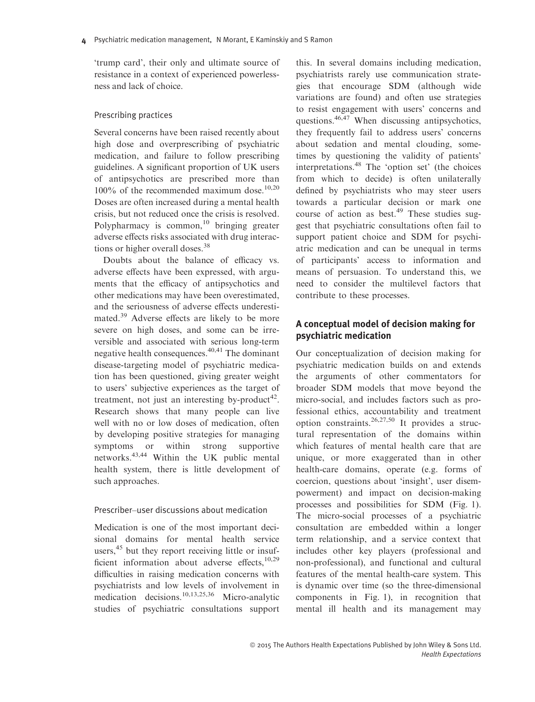'trump card', their only and ultimate source of resistance in a context of experienced powerlessness and lack of choice.

## Prescribing practices

Several concerns have been raised recently about high dose and overprescribing of psychiatric medication, and failure to follow prescribing guidelines. A significant proportion of UK users of antipsychotics are prescribed more than  $100\%$  of the recommended maximum dose.<sup>10,20</sup> Doses are often increased during a mental health crisis, but not reduced once the crisis is resolved. Polypharmacy is common,<sup>10</sup> bringing greater adverse effects risks associated with drug interactions or higher overall doses.<sup>38</sup>

Doubts about the balance of efficacy vs. adverse effects have been expressed, with arguments that the efficacy of antipsychotics and other medications may have been overestimated, and the seriousness of adverse effects underestimated.<sup>39</sup> Adverse effects are likely to be more severe on high doses, and some can be irreversible and associated with serious long-term negative health consequences.40,41 The dominant disease-targeting model of psychiatric medication has been questioned, giving greater weight to users' subjective experiences as the target of treatment, not just an interesting by-product $42$ . Research shows that many people can live well with no or low doses of medication, often by developing positive strategies for managing symptoms or within strong supportive networks.43,44 Within the UK public mental health system, there is little development of such approaches.

## Prescriber–user discussions about medication

Medication is one of the most important decisional domains for mental health service users, $45$  but they report receiving little or insufficient information about adverse effects, $10,29$ difficulties in raising medication concerns with psychiatrists and low levels of involvement in medication decisions.10,13,25,36 Micro-analytic studies of psychiatric consultations support this. In several domains including medication, psychiatrists rarely use communication strategies that encourage SDM (although wide variations are found) and often use strategies to resist engagement with users' concerns and questions.46,47 When discussing antipsychotics, they frequently fail to address users' concerns about sedation and mental clouding, sometimes by questioning the validity of patients' interpretations.<sup>48</sup> The 'option set' (the choices from which to decide) is often unilaterally defined by psychiatrists who may steer users towards a particular decision or mark one course of action as best.<sup>49</sup> These studies suggest that psychiatric consultations often fail to support patient choice and SDM for psychiatric medication and can be unequal in terms of participants' access to information and means of persuasion. To understand this, we need to consider the multilevel factors that contribute to these processes.

# A conceptual model of decision making for psychiatric medication

Our conceptualization of decision making for psychiatric medication builds on and extends the arguments of other commentators for broader SDM models that move beyond the micro-social, and includes factors such as professional ethics, accountability and treatment option constraints.26,27,50 It provides a structural representation of the domains within which features of mental health care that are unique, or more exaggerated than in other health-care domains, operate (e.g. forms of coercion, questions about 'insight', user disempowerment) and impact on decision-making processes and possibilities for SDM (Fig. 1). The micro-social processes of a psychiatric consultation are embedded within a longer term relationship, and a service context that includes other key players (professional and non-professional), and functional and cultural features of the mental health-care system. This is dynamic over time (so the three-dimensional components in Fig. 1), in recognition that mental ill health and its management may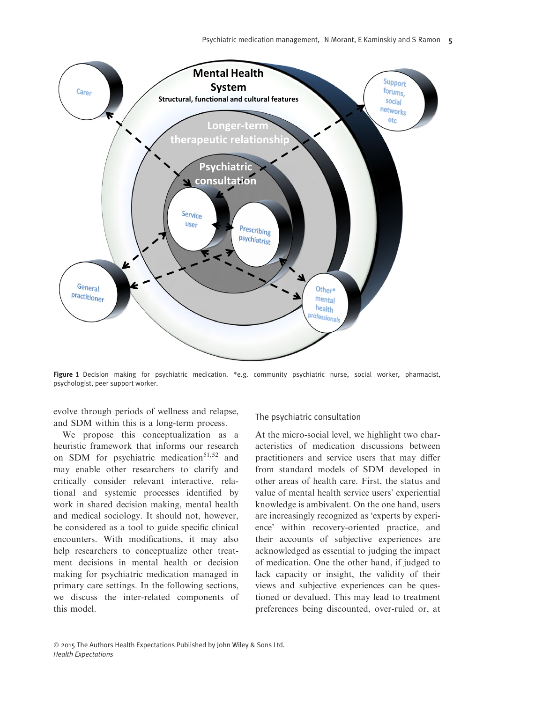

Figure 1 Decision making for psychiatric medication. \*e.g. community psychiatric nurse, social worker, pharmacist, psychologist, peer support worker.

evolve through periods of wellness and relapse, and SDM within this is a long-term process.

We propose this conceptualization as a heuristic framework that informs our research on SDM for psychiatric medication $51,52$  and may enable other researchers to clarify and critically consider relevant interactive, relational and systemic processes identified by work in shared decision making, mental health and medical sociology. It should not, however, be considered as a tool to guide specific clinical encounters. With modifications, it may also help researchers to conceptualize other treatment decisions in mental health or decision making for psychiatric medication managed in primary care settings. In the following sections, we discuss the inter-related components of this model.

The psychiatric consultation

At the micro-social level, we highlight two characteristics of medication discussions between practitioners and service users that may differ from standard models of SDM developed in other areas of health care. First, the status and value of mental health service users' experiential knowledge is ambivalent. On the one hand, users are increasingly recognized as 'experts by experience' within recovery-oriented practice, and their accounts of subjective experiences are acknowledged as essential to judging the impact of medication. One the other hand, if judged to lack capacity or insight, the validity of their views and subjective experiences can be questioned or devalued. This may lead to treatment preferences being discounted, over-ruled or, at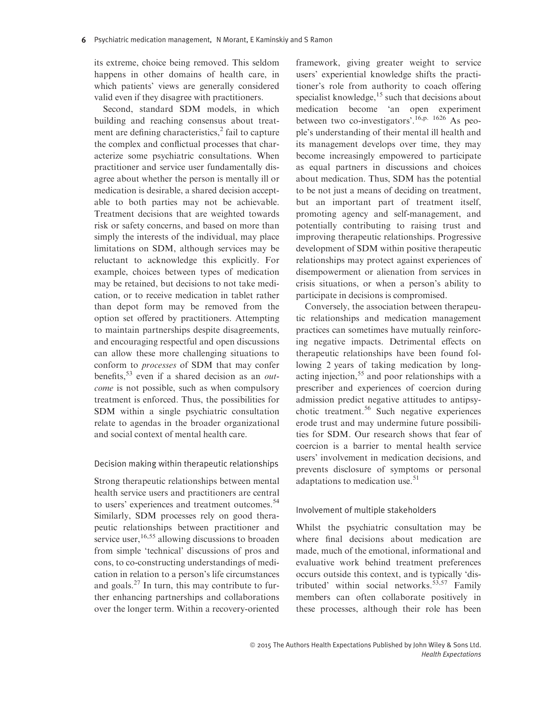its extreme, choice being removed. This seldom happens in other domains of health care, in which patients' views are generally considered valid even if they disagree with practitioners.

Second, standard SDM models, in which building and reaching consensus about treatment are defining characteristics, $\frac{2}{3}$  fail to capture the complex and conflictual processes that characterize some psychiatric consultations. When practitioner and service user fundamentally disagree about whether the person is mentally ill or medication is desirable, a shared decision acceptable to both parties may not be achievable. Treatment decisions that are weighted towards risk or safety concerns, and based on more than simply the interests of the individual, may place limitations on SDM, although services may be reluctant to acknowledge this explicitly. For example, choices between types of medication may be retained, but decisions to not take medication, or to receive medication in tablet rather than depot form may be removed from the option set offered by practitioners. Attempting to maintain partnerships despite disagreements, and encouraging respectful and open discussions can allow these more challenging situations to conform to processes of SDM that may confer benefits,  $53$  even if a shared decision as an *out*come is not possible, such as when compulsory treatment is enforced. Thus, the possibilities for SDM within a single psychiatric consultation relate to agendas in the broader organizational and social context of mental health care.

## Decision making within therapeutic relationships

Strong therapeutic relationships between mental health service users and practitioners are central to users' experiences and treatment outcomes.<sup>54</sup> Similarly, SDM processes rely on good therapeutic relationships between practitioner and service user,  $16,55$  allowing discussions to broaden from simple 'technical' discussions of pros and cons, to co-constructing understandings of medication in relation to a person's life circumstances and goals.<sup>27</sup> In turn, this may contribute to further enhancing partnerships and collaborations over the longer term. Within a recovery-oriented framework, giving greater weight to service users' experiential knowledge shifts the practitioner's role from authority to coach offering specialist knowledge, $15$  such that decisions about medication become 'an open experiment between two co-investigators'.16,p. 1626 As people's understanding of their mental ill health and its management develops over time, they may become increasingly empowered to participate as equal partners in discussions and choices about medication. Thus, SDM has the potential to be not just a means of deciding on treatment, but an important part of treatment itself, promoting agency and self-management, and potentially contributing to raising trust and improving therapeutic relationships. Progressive development of SDM within positive therapeutic relationships may protect against experiences of disempowerment or alienation from services in crisis situations, or when a person's ability to participate in decisions is compromised.

Conversely, the association between therapeutic relationships and medication management practices can sometimes have mutually reinforcing negative impacts. Detrimental effects on therapeutic relationships have been found following 2 years of taking medication by longacting injection,<sup>55</sup> and poor relationships with a prescriber and experiences of coercion during admission predict negative attitudes to antipsychotic treatment.56 Such negative experiences erode trust and may undermine future possibilities for SDM. Our research shows that fear of coercion is a barrier to mental health service users' involvement in medication decisions, and prevents disclosure of symptoms or personal adaptations to medication use.<sup>51</sup>

#### Involvement of multiple stakeholders

Whilst the psychiatric consultation may be where final decisions about medication are made, much of the emotional, informational and evaluative work behind treatment preferences occurs outside this context, and is typically 'distributed' within social networks.<sup>53,57</sup> Family members can often collaborate positively in these processes, although their role has been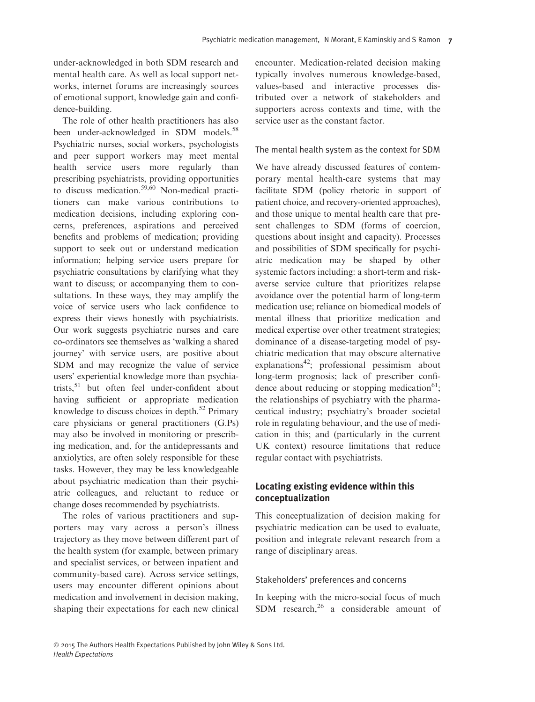under-acknowledged in both SDM research and mental health care. As well as local support networks, internet forums are increasingly sources of emotional support, knowledge gain and confidence-building.

The role of other health practitioners has also been under-acknowledged in SDM models.<sup>58</sup> Psychiatric nurses, social workers, psychologists and peer support workers may meet mental health service users more regularly than prescribing psychiatrists, providing opportunities to discuss medication.59,60 Non-medical practitioners can make various contributions to medication decisions, including exploring concerns, preferences, aspirations and perceived benefits and problems of medication; providing support to seek out or understand medication information; helping service users prepare for psychiatric consultations by clarifying what they want to discuss; or accompanying them to consultations. In these ways, they may amplify the voice of service users who lack confidence to express their views honestly with psychiatrists. Our work suggests psychiatric nurses and care co-ordinators see themselves as 'walking a shared journey' with service users, are positive about SDM and may recognize the value of service users' experiential knowledge more than psychiatrists,<sup>51</sup> but often feel under-confident about having sufficient or appropriate medication knowledge to discuss choices in depth. <sup>52</sup> Primary care physicians or general practitioners (G.Ps) may also be involved in monitoring or prescribing medication, and, for the antidepressants and anxiolytics, are often solely responsible for these tasks. However, they may be less knowledgeable about psychiatric medication than their psychiatric colleagues, and reluctant to reduce or change doses recommended by psychiatrists.

The roles of various practitioners and supporters may vary across a person's illness trajectory as they move between different part of the health system (for example, between primary and specialist services, or between inpatient and community-based care). Across service settings, users may encounter different opinions about medication and involvement in decision making, shaping their expectations for each new clinical

encounter. Medication-related decision making typically involves numerous knowledge-based, values-based and interactive processes distributed over a network of stakeholders and supporters across contexts and time, with the service user as the constant factor.

# The mental health system as the context for SDM

We have already discussed features of contemporary mental health-care systems that may facilitate SDM (policy rhetoric in support of patient choice, and recovery-oriented approaches), and those unique to mental health care that present challenges to SDM (forms of coercion, questions about insight and capacity). Processes and possibilities of SDM specifically for psychiatric medication may be shaped by other systemic factors including: a short-term and riskaverse service culture that prioritizes relapse avoidance over the potential harm of long-term medication use; reliance on biomedical models of mental illness that prioritize medication and medical expertise over other treatment strategies; dominance of a disease-targeting model of psychiatric medication that may obscure alternative explanations<sup>42</sup>; professional pessimism about long-term prognosis; lack of prescriber confidence about reducing or stopping medication $61$ ; the relationships of psychiatry with the pharmaceutical industry; psychiatry's broader societal role in regulating behaviour, and the use of medication in this; and (particularly in the current UK context) resource limitations that reduce regular contact with psychiatrists.

# Locating existing evidence within this conceptualization

This conceptualization of decision making for psychiatric medication can be used to evaluate, position and integrate relevant research from a range of disciplinary areas.

## Stakeholders' preferences and concerns

In keeping with the micro-social focus of much SDM research,26 a considerable amount of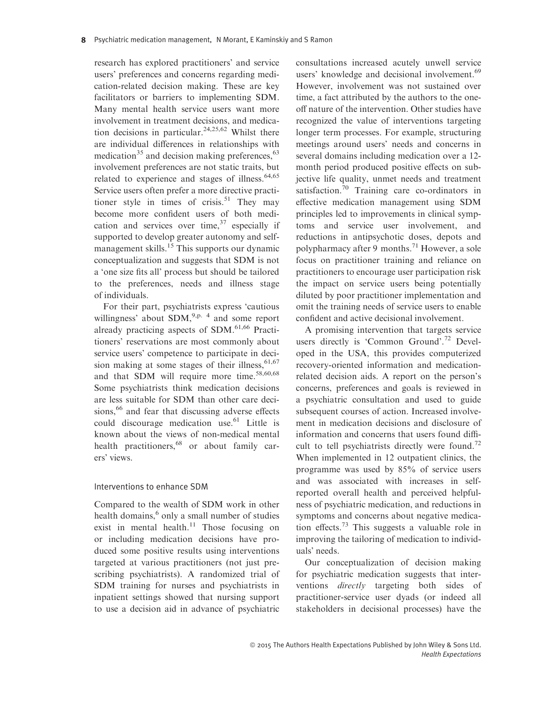research has explored practitioners' and service users' preferences and concerns regarding medication-related decision making. These are key facilitators or barriers to implementing SDM. Many mental health service users want more involvement in treatment decisions, and medication decisions in particular.<sup>24,25,62</sup> Whilst there are individual differences in relationships with medication<sup>35</sup> and decision making preferences,  $63$ involvement preferences are not static traits, but related to experience and stages of illness. $64,65$ Service users often prefer a more directive practitioner style in times of crisis.<sup>51</sup> They may become more confident users of both medication and services over time,  $37$  especially if supported to develop greater autonomy and selfmanagement skills.<sup>15</sup> This supports our dynamic conceptualization and suggests that SDM is not a 'one size fits all' process but should be tailored to the preferences, needs and illness stage of individuals.

For their part, psychiatrists express 'cautious willingness' about SDM,<sup>9,p. 4</sup> and some report already practicing aspects of  $SDM.<sup>61,66</sup>$  Practitioners' reservations are most commonly about service users' competence to participate in decision making at some stages of their illness,  $61,67$ and that SDM will require more time.<sup>58,60,68</sup> Some psychiatrists think medication decisions are less suitable for SDM than other care decisions,<sup>66</sup> and fear that discussing adverse effects could discourage medication use.61 Little is known about the views of non-medical mental health practitioners,<sup>68</sup> or about family carers' views.

## Interventions to enhance SDM

Compared to the wealth of SDM work in other health domains,<sup>6</sup> only a small number of studies exist in mental health. $11$  Those focusing on or including medication decisions have produced some positive results using interventions targeted at various practitioners (not just prescribing psychiatrists). A randomized trial of SDM training for nurses and psychiatrists in inpatient settings showed that nursing support to use a decision aid in advance of psychiatric

consultations increased acutely unwell service users' knowledge and decisional involvement.<sup>69</sup> However, involvement was not sustained over time, a fact attributed by the authors to the oneoff nature of the intervention. Other studies have recognized the value of interventions targeting longer term processes. For example, structuring meetings around users' needs and concerns in several domains including medication over a 12 month period produced positive effects on subjective life quality, unmet needs and treatment satisfaction.<sup>70</sup> Training care co-ordinators in effective medication management using SDM principles led to improvements in clinical symptoms and service user involvement, and reductions in antipsychotic doses, depots and polypharmacy after 9 months.<sup>71</sup> However, a sole focus on practitioner training and reliance on practitioners to encourage user participation risk the impact on service users being potentially diluted by poor practitioner implementation and omit the training needs of service users to enable confident and active decisional involvement.

A promising intervention that targets service users directly is 'Common Ground'.<sup>72</sup> Developed in the USA, this provides computerized recovery-oriented information and medicationrelated decision aids. A report on the person's concerns, preferences and goals is reviewed in a psychiatric consultation and used to guide subsequent courses of action. Increased involvement in medication decisions and disclosure of information and concerns that users found difficult to tell psychiatrists directly were found.<sup>72</sup> When implemented in 12 outpatient clinics, the programme was used by 85% of service users and was associated with increases in selfreported overall health and perceived helpfulness of psychiatric medication, and reductions in symptoms and concerns about negative medication effects.<sup>73</sup> This suggests a valuable role in improving the tailoring of medication to individuals' needs.

Our conceptualization of decision making for psychiatric medication suggests that interventions directly targeting both sides of practitioner-service user dyads (or indeed all stakeholders in decisional processes) have the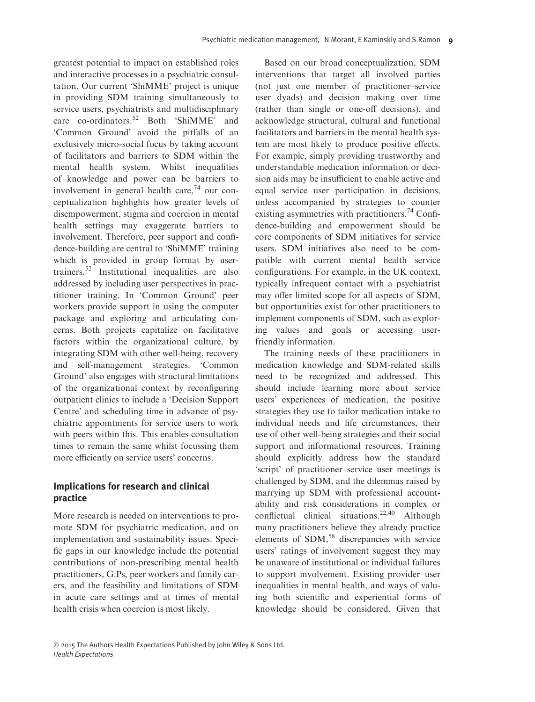greatest potential to impact on established roles and interactive processes in a psychiatric consultation. Our current 'ShiMME' project is unique in providing SDM training simultaneously to service users, psychiatrists and multidisciplinary care co-ordinators.52 Both 'ShiMME' and 'Common Ground' avoid the pitfalls of an exclusively micro-social focus by taking account of facilitators and barriers to SDM within the mental health system. Whilst inequalities of knowledge and power can be barriers to involvement in general health care,  $^{74}$  our conceptualization highlights how greater levels of disempowerment, stigma and coercion in mental health settings may exaggerate barriers to involvement. Therefore, peer support and confidence-building are central to 'ShiMME' training which is provided in group format by usertrainers.<sup>52</sup> Institutional inequalities are also addressed by including user perspectives in practitioner training. In 'Common Ground' peer workers provide support in using the computer package and exploring and articulating concerns. Both projects capitalize on facilitative factors within the organizational culture, by integrating SDM with other well-being, recovery and self-management strategies. 'Common Ground' also engages with structural limitations of the organizational context by reconfiguring outpatient clinics to include a 'Decision Support Centre' and scheduling time in advance of psychiatric appointments for service users to work with peers within this. This enables consultation times to remain the same whilst focussing them more efficiently on service users' concerns.

# Implications for research and clinical practice

More research is needed on interventions to promote SDM for psychiatric medication, and on implementation and sustainability issues. Specific gaps in our knowledge include the potential contributions of non-prescribing mental health practitioners, G.Ps, peer workers and family carers, and the feasibility and limitations of SDM in acute care settings and at times of mental health crisis when coercion is most likely.

Based on our broad conceptualization, SDM interventions that target all involved parties (not just one member of practitioner–service user dyads) and decision making over time (rather than single or one-off decisions), and acknowledge structural, cultural and functional facilitators and barriers in the mental health system are most likely to produce positive effects. For example, simply providing trustworthy and understandable medication information or decision aids may be insufficient to enable active and equal service user participation in decisions, unless accompanied by strategies to counter existing asymmetries with practitioners.<sup>74</sup> Confidence-building and empowerment should be core components of SDM initiatives for service users. SDM initiatives also need to be compatible with current mental health service configurations. For example, in the UK context, typically infrequent contact with a psychiatrist may offer limited scope for all aspects of SDM, but opportunities exist for other practitioners to implement components of SDM, such as exploring values and goals or accessing userfriendly information.

The training needs of these practitioners in medication knowledge and SDM-related skills need to be recognized and addressed. This should include learning more about service users' experiences of medication, the positive strategies they use to tailor medication intake to individual needs and life circumstances, their use of other well-being strategies and their social support and informational resources. Training should explicitly address how the standard 'script' of practitioner–service user meetings is challenged by SDM, and the dilemmas raised by marrying up SDM with professional accountability and risk considerations in complex or conflictual clinical situations.<sup>22,40</sup> Although many practitioners believe they already practice elements of SDM,<sup>58</sup> discrepancies with service users' ratings of involvement suggest they may be unaware of institutional or individual failures to support involvement. Existing provider–user inequalities in mental health, and ways of valuing both scientific and experiential forms of knowledge should be considered. Given that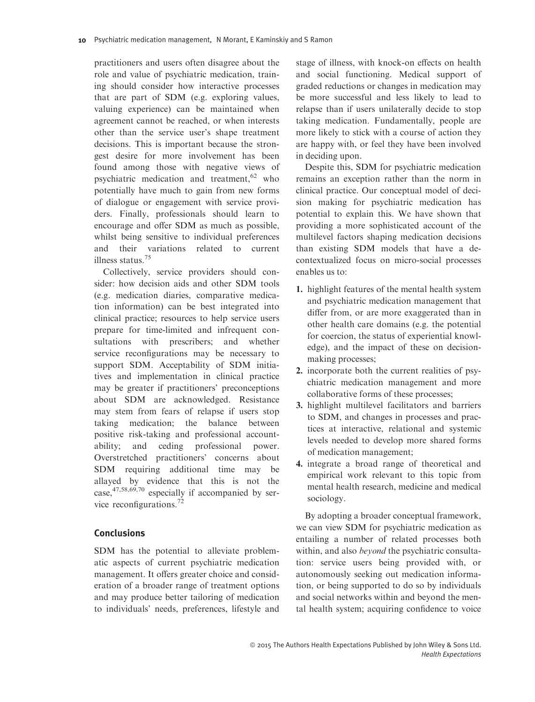practitioners and users often disagree about the role and value of psychiatric medication, training should consider how interactive processes that are part of SDM (e.g. exploring values, valuing experience) can be maintained when agreement cannot be reached, or when interests other than the service user's shape treatment decisions. This is important because the strongest desire for more involvement has been found among those with negative views of psychiatric medication and treatment,  $62$  who potentially have much to gain from new forms of dialogue or engagement with service providers. Finally, professionals should learn to encourage and offer SDM as much as possible, whilst being sensitive to individual preferences and their variations related to current illness status.75

Collectively, service providers should consider: how decision aids and other SDM tools (e.g. medication diaries, comparative medication information) can be best integrated into clinical practice; resources to help service users prepare for time-limited and infrequent consultations with prescribers; and whether service reconfigurations may be necessary to support SDM. Acceptability of SDM initiatives and implementation in clinical practice may be greater if practitioners' preconceptions about SDM are acknowledged. Resistance may stem from fears of relapse if users stop taking medication; the balance between positive risk-taking and professional accountability; and ceding professional power. Overstretched practitioners' concerns about SDM requiring additional time may be allayed by evidence that this is not the  $\cos^{47,58,69,70}$  especially if accompanied by service reconfigurations.<sup>72</sup>

### Conclusions

SDM has the potential to alleviate problematic aspects of current psychiatric medication management. It offers greater choice and consideration of a broader range of treatment options and may produce better tailoring of medication to individuals' needs, preferences, lifestyle and stage of illness, with knock-on effects on health and social functioning. Medical support of graded reductions or changes in medication may be more successful and less likely to lead to relapse than if users unilaterally decide to stop taking medication. Fundamentally, people are more likely to stick with a course of action they are happy with, or feel they have been involved in deciding upon.

Despite this, SDM for psychiatric medication remains an exception rather than the norm in clinical practice. Our conceptual model of decision making for psychiatric medication has potential to explain this. We have shown that providing a more sophisticated account of the multilevel factors shaping medication decisions than existing SDM models that have a decontextualized focus on micro-social processes enables us to:

- 1. highlight features of the mental health system and psychiatric medication management that differ from, or are more exaggerated than in other health care domains (e.g. the potential for coercion, the status of experiential knowledge), and the impact of these on decisionmaking processes;
- 2. incorporate both the current realities of psychiatric medication management and more collaborative forms of these processes;
- 3. highlight multilevel facilitators and barriers to SDM, and changes in processes and practices at interactive, relational and systemic levels needed to develop more shared forms of medication management;
- 4. integrate a broad range of theoretical and empirical work relevant to this topic from mental health research, medicine and medical sociology.

By adopting a broader conceptual framework, we can view SDM for psychiatric medication as entailing a number of related processes both within, and also *beyond* the psychiatric consultation: service users being provided with, or autonomously seeking out medication information, or being supported to do so by individuals and social networks within and beyond the mental health system; acquiring confidence to voice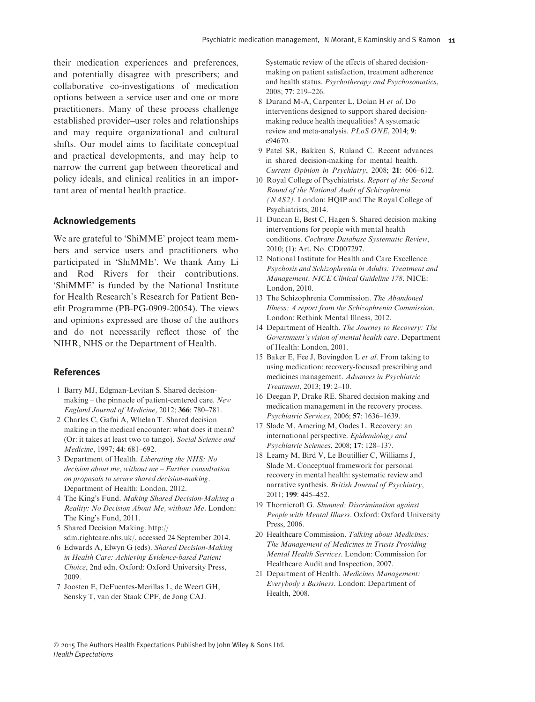their medication experiences and preferences, and potentially disagree with prescribers; and collaborative co-investigations of medication options between a service user and one or more practitioners. Many of these process challenge established provider–user roles and relationships and may require organizational and cultural shifts. Our model aims to facilitate conceptual and practical developments, and may help to narrow the current gap between theoretical and policy ideals, and clinical realities in an important area of mental health practice.

# Acknowledgements

We are grateful to 'ShiMME' project team members and service users and practitioners who participated in 'ShiMME'. We thank Amy Li and Rod Rivers for their contributions. 'ShiMME' is funded by the National Institute for Health Research's Research for Patient Benefit Programme (PB-PG-0909-20054). The views and opinions expressed are those of the authors and do not necessarily reflect those of the NIHR, NHS or the Department of Health.

#### References

- 1 Barry MJ, Edgman-Levitan S. Shared decisionmaking – the pinnacle of patient-centered care. New England Journal of Medicine, 2012; 366: 780–781.
- 2 Charles C, Gafni A, Whelan T. Shared decision making in the medical encounter: what does it mean? (Or: it takes at least two to tango). Social Science and Medicine, 1997; 44: 681–692.
- 3 Department of Health. Liberating the NHS: No decision about me, without me – Further consultation on proposals to secure shared decision-making. Department of Health: London, 2012.
- 4 The King's Fund. Making Shared Decision-Making a Reality: No Decision About Me, without Me. London: The King's Fund, 2011.
- 5 Shared Decision Making. [http://](http://sdm.rightcare.nhs.uk/) [sdm.rightcare.nhs.uk/](http://sdm.rightcare.nhs.uk/), accessed 24 September 2014.
- 6 Edwards A, Elwyn G (eds). Shared Decision-Making in Health Care: Achieving Evidence-based Patient Choice, 2nd edn. Oxford: Oxford University Press, 2009.
- 7 Joosten E, DeFuentes-Merillas L, de Weert GH, Sensky T, van der Staak CPF, de Jong CAJ.

Systematic review of the effects of shared decisionmaking on patient satisfaction, treatment adherence and health status. Psychotherapy and Psychosomatics, 2008; 77: 219–226.

- 8 Durand M-A, Carpenter L, Dolan H et al. Do interventions designed to support shared decisionmaking reduce health inequalities? A systematic review and meta-analysis. PLoS ONE, 2014; 9: e94670.
- 9 Patel SR, Bakken S, Ruland C. Recent advances in shared decision-making for mental health. Current Opinion in Psychiatry, 2008; 21: 606–612.
- 10 Royal College of Psychiatrists. Report of the Second Round of the National Audit of Schizophrenia (NAS2). London: HQIP and The Royal College of Psychiatrists, 2014.
- 11 Duncan E, Best C, Hagen S. Shared decision making interventions for people with mental health conditions. Cochrane Database Systematic Review, 2010; (1): Art. No. CD007297.
- 12 National Institute for Health and Care Excellence. Psychosis and Schizophrenia in Adults: Treatment and Management. NICE Clinical Guideline 178. NICE: London, 2010.
- 13 The Schizophrenia Commission. The Abandoned Illness: A report from the Schizophrenia Commission. London: Rethink Mental Illness, 2012.
- 14 Department of Health. The Journey to Recovery: The Government's vision of mental health care. Department of Health: London, 2001.
- 15 Baker E, Fee J, Bovingdon L et al. From taking to using medication: recovery-focused prescribing and medicines management. Advances in Psychiatric Treatment, 2013; 19: 2–10.
- 16 Deegan P, Drake RE. Shared decision making and medication management in the recovery process. Psychiatric Services, 2006; 57: 1636–1639.
- 17 Slade M, Amering M, Oades L. Recovery: an international perspective. Epidemiology and Psychiatric Sciences, 2008; 17: 128–137.
- 18 Leamy M, Bird V, Le Boutillier C, Williams J, Slade M. Conceptual framework for personal recovery in mental health: systematic review and narrative synthesis. British Journal of Psychiatry, 2011; 199: 445–452.
- 19 Thornicroft G. Shunned: Discrimination against People with Mental Illness. Oxford: Oxford University Press, 2006.
- 20 Healthcare Commission. Talking about Medicines: The Management of Medicines in Trusts Providing Mental Health Services. London: Commission for Healthcare Audit and Inspection, 2007.
- 21 Department of Health. Medicines Management: Everybody's Business. London: Department of Health, 2008.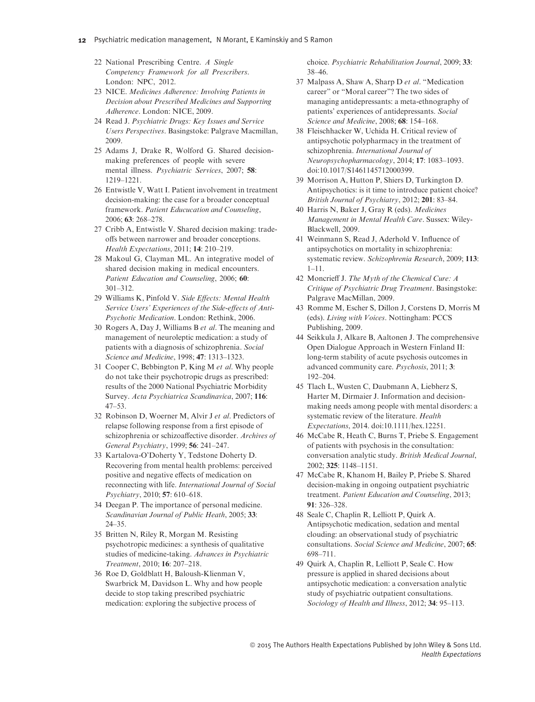- 22 National Prescribing Centre. A Single Competency Framework for all Prescribers. London: NPC, 2012.
- 23 NICE. Medicines Adherence: Involving Patients in Decision about Prescribed Medicines and Supporting Adherence. London: NICE, 2009.
- 24 Read J. Psychiatric Drugs: Key Issues and Service Users Perspectives. Basingstoke: Palgrave Macmillan, 2009.
- 25 Adams J, Drake R, Wolford G. Shared decisionmaking preferences of people with severe mental illness. Psychiatric Services, 2007; 58: 1219–1221.
- 26 Entwistle V, Watt I. Patient involvement in treatment decision-making: the case for a broader conceptual framework. Patient Educucation and Counseling, 2006; 63: 268–278.
- 27 Cribb A, Entwistle V. Shared decision making: tradeoffs between narrower and broader conceptions. Health Expectations, 2011; 14: 210–219.
- 28 Makoul G, Clayman ML. An integrative model of shared decision making in medical encounters. Patient Education and Counseling, 2006; 60: 301–312.
- 29 Williams K, Pinfold V. Side Effects: Mental Health Service Users' Experiences of the Side-effects of Anti-Psychotic Medication. London: Rethink, 2006.
- 30 Rogers A, Day J, Williams B et al. The meaning and management of neuroleptic medication: a study of patients with a diagnosis of schizophrenia. Social Science and Medicine, 1998; 47: 1313–1323.
- 31 Cooper C, Bebbington P, King M et al. Why people do not take their psychotropic drugs as prescribed: results of the 2000 National Psychiatric Morbidity Survey. Acta Psychiatrica Scandinavica, 2007; 116: 47–53.
- 32 Robinson D, Woerner M, Alvir J et al. Predictors of relapse following response from a first episode of schizophrenia or schizoaffective disorder. Archives of General Psychiatry, 1999; 56: 241–247.
- 33 Kartalova-O'Doherty Y, Tedstone Doherty D. Recovering from mental health problems: perceived positive and negative effects of medication on reconnecting with life. International Journal of Social Psychiatry, 2010; 57: 610–618.
- 34 Deegan P. The importance of personal medicine. Scandinavian Journal of Public Heath, 2005; 33: 24–35.
- 35 Britten N, Riley R, Morgan M. Resisting psychotropic medicines: a synthesis of qualitative studies of medicine-taking. Advances in Psychiatric Treatment, 2010; 16: 207–218.
- 36 Roe D, Goldblatt H, Baloush-Klienman V, Swarbrick M, Davidson L. Why and how people decide to stop taking prescribed psychiatric medication: exploring the subjective process of

choice. Psychiatric Rehabilitation Journal, 2009; 33: 38–46.

- 37 Malpass A, Shaw A, Sharp D et al. "Medication career" or "Moral career"? The two sides of managing antidepressants: a meta-ethnography of patients' experiences of antidepressants. Social Science and Medicine, 2008; 68: 154–168.
- 38 Fleischhacker W, Uchida H. Critical review of antipsychotic polypharmacy in the treatment of schizophrenia. International Journal of Neuropsychopharmacology, 2014; 17: 1083–1093. doi:[10.1017/S1461145712000399.](http://dx.doi.org/10.1017/S1461145712000399)
- 39 Morrison A, Hutton P, Shiers D, Turkington D. Antipsychotics: is it time to introduce patient choice? British Journal of Psychiatry, 2012; 201: 83–84.
- 40 Harris N, Baker J, Gray R (eds). Medicines Management in Mental Health Care. Sussex: Wiley-Blackwell, 2009.
- 41 Weinmann S, Read J, Aderhold V. Influence of antipsychotics on mortality in schizophrenia: systematic review. Schizophrenia Research, 2009; 113: 1–11.
- 42 Moncrieff J. The Myth of the Chemical Cure: A Critique of Psychiatric Drug Treatment. Basingstoke: Palgrave MacMillan, 2009.
- 43 Romme M, Escher S, Dillon J, Corstens D, Morris M (eds). Living with Voices. Nottingham: PCCS Publishing, 2009.
- 44 Seikkula J, Alkare B, Aaltonen J. The comprehensive Open Dialogue Approach in Western Finland II: long-term stability of acute psychosis outcomes in advanced community care. Psychosis, 2011; 3: 192–204.
- 45 Tlach L, Wusten C, Daubmann A, Liebherz S, Harter M, Dirmaier J. Information and decisionmaking needs among people with mental disorders: a systematic review of the literature. Health Expectations, 2014. doi[:10.1111/hex.12251](http://dx.doi.org/10.1111/hex.12251).
- 46 McCabe R, Heath C, Burns T, Priebe S. Engagement of patients with psychosis in the consultation: conversation analytic study. British Medical Journal, 2002; 325: 1148–1151.
- 47 McCabe R, Khanom H, Bailey P, Priebe S. Shared decision-making in ongoing outpatient psychiatric treatment. Patient Education and Counseling, 2013; 91: 326–328.
- 48 Seale C, Chaplin R, Lelliott P, Quirk A. Antipsychotic medication, sedation and mental clouding: an observational study of psychiatric consultations. Social Science and Medicine, 2007; 65: 698–711.
- 49 Quirk A, Chaplin R, Lelliott P, Seale C. How pressure is applied in shared decisions about antipsychotic medication: a conversation analytic study of psychiatric outpatient consultations. Sociology of Health and Illness, 2012; 34: 95-113.